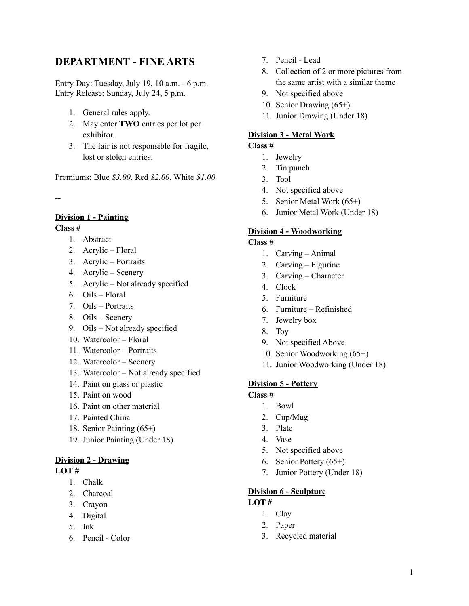# **DEPARTMENT - FINE ARTS**

Entry Day: Tuesday, July 19, 10 a.m. - 6 p.m. Entry Release: Sunday, July 24, 5 p.m.

- 1. General rules apply.
- 2. May enter **TWO** entries per lot per exhibitor.
- 3. The fair is not responsible for fragile, lost or stolen entries.

Premiums: Blue *\$3.00*, Red *\$2.00*, White *\$1.00*

**--**

### **Division 1 - Painting**

#### **Class #**

- 1. Abstract
- 2. Acrylic Floral
- 3. Acrylic Portraits
- 4. Acrylic Scenery
- 5. Acrylic Not already specified
- 6. Oils Floral
- 7. Oils Portraits
- 8. Oils Scenery
- 9. Oils Not already specified
- 10. Watercolor Floral
- 11. Watercolor Portraits
- 12. Watercolor Scenery
- 13. Watercolor Not already specified
- 14. Paint on glass or plastic
- 15. Paint on wood
- 16. Paint on other material
- 17. Painted China
- 18. Senior Painting (65+)
- 19. Junior Painting (Under 18)

### **Division 2 - Drawing**

#### **LOT #**

- 1. Chalk
- 2. Charcoal
- 3. Crayon
- 4. Digital
- 5. Ink
- 6. Pencil Color
- 7. Pencil Lead
- 8. Collection of 2 or more pictures from the same artist with a similar theme
- 9. Not specified above
- 10. Senior Drawing (65+)
- 11. Junior Drawing (Under 18)

### **Division 3 - Metal Work**

#### **Class #**

- 1. Jewelry
- 2. Tin punch
- 3. Tool
- 4. Not specified above
- 5. Senior Metal Work (65+)
- 6. Junior Metal Work (Under 18)

### **Division 4 - Woodworking**

#### **Class #**

- 1. Carving Animal
- 2. Carving Figurine
- 3. Carving Character
- 4. Clock
- 5. Furniture
- 6. Furniture Refinished
- 7. Jewelry box
- 8. Toy
- 9. Not specified Above
- 10. Senior Woodworking (65+)
- 11. Junior Woodworking (Under 18)

#### **Division 5 - Pottery**

#### **Class #**

- 1. Bowl
- 2. Cup/Mug
- 3. Plate
- 4. Vase
- 5. Not specified above
- 6. Senior Pottery (65+)
- 7. Junior Pottery (Under 18)

#### **Division 6 - Sculpture**

#### **LOT #**

- 1. Clay
- 2. Paper
- 3. Recycled material